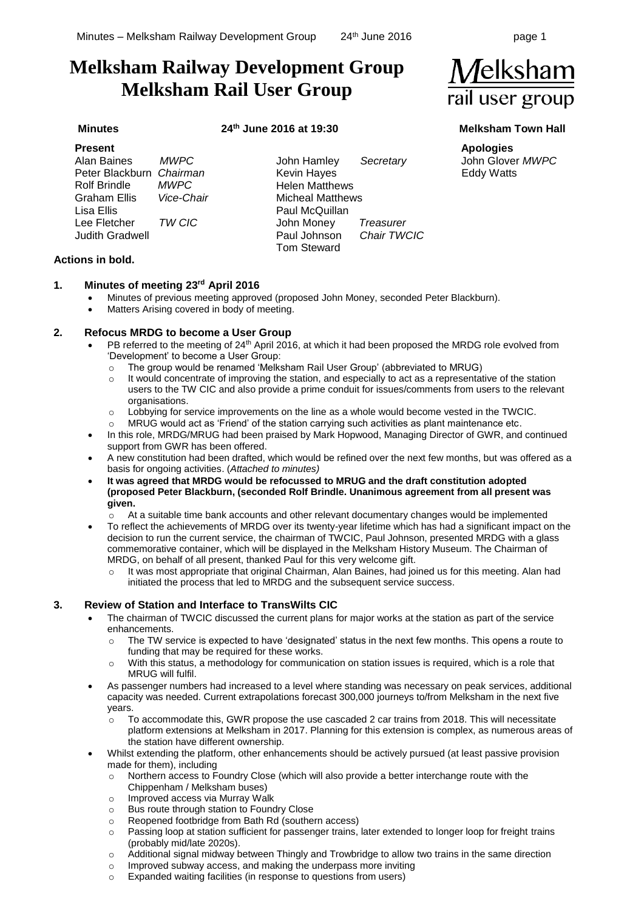# **Melksham Railway Development Group Melksham Rail User Group**

# **Minutes 24th June 2016 at 19:30 Melksham Town Hall**

| <b>Present</b>           |             |                         |                  |
|--------------------------|-------------|-------------------------|------------------|
| Alan Baines              | <b>MWPC</b> | John Hamley             | Secretary        |
| Peter Blackburn Chairman |             | Kevin Hayes             |                  |
| <b>Rolf Brindle</b>      | <b>MWPC</b> | <b>Helen Matthews</b>   |                  |
| Graham Ellis             | Vice-Chair  | <b>Micheal Matthews</b> |                  |
| Lisa Ellis               |             | Paul McQuillan          |                  |
| Lee Fletcher             | TW CIC      | John Money              | <b>Treasurer</b> |
| <b>Judith Gradwell</b>   |             | Paul Johnson            | Chair TWCIC      |
|                          |             | <b>Tom Steward</b>      |                  |

## **Actions in bold.**

### **1. Minutes of meeting 23rd April 2016**

- Minutes of previous meeting approved (proposed John Money, seconded Peter Blackburn).
	- Matters Arising covered in body of meeting.

### **2. Refocus MRDG to become a User Group**

- PB referred to the meeting of 24<sup>th</sup> April 2016, at which it had been proposed the MRDG role evolved from 'Development' to become a User Group:
	- o The group would be renamed 'Melksham Rail User Group' (abbreviated to MRUG)
	- $\circ$  It would concentrate of improving the station, and especially to act as a representative of the station users to the TW CIC and also provide a prime conduit for issues/comments from users to the relevant organisations.
	- $\circ$  Lobbying for service improvements on the line as a whole would become vested in the TWCIC.
	- MRUG would act as 'Friend' of the station carrying such activities as plant maintenance etc.
- In this role, MRDG/MRUG had been praised by Mark Hopwood, Managing Director of GWR, and continued support from GWR has been offered.
- A new constitution had been drafted, which would be refined over the next few months, but was offered as a basis for ongoing activities. (*Attached to minutes)*
- **It was agreed that MRDG would be refocussed to MRUG and the draft constitution adopted (proposed Peter Blackburn, (seconded Rolf Brindle. Unanimous agreement from all present was given.**
	- o At a suitable time bank accounts and other relevant documentary changes would be implemented
- To reflect the achievements of MRDG over its twenty-year lifetime which has had a significant impact on the decision to run the current service, the chairman of TWCIC, Paul Johnson, presented MRDG with a glass commemorative container, which will be displayed in the Melksham History Museum. The Chairman of MRDG, on behalf of all present, thanked Paul for this very welcome gift.
	- o It was most appropriate that original Chairman, Alan Baines, had joined us for this meeting. Alan had initiated the process that led to MRDG and the subsequent service success.

### **3. Review of Station and Interface to TransWilts CIC**

- The chairman of TWCIC discussed the current plans for major works at the station as part of the service enhancements.
	- o The TW service is expected to have 'designated' status in the next few months. This opens a route to funding that may be required for these works.
	- o With this status, a methodology for communication on station issues is required, which is a role that MRUG will fulfil.
- As passenger numbers had increased to a level where standing was necessary on peak services, additional capacity was needed. Current extrapolations forecast 300,000 journeys to/from Melksham in the next five years.
	- $\circ$  To accommodate this, GWR propose the use cascaded 2 car trains from 2018. This will necessitate platform extensions at Melksham in 2017. Planning for this extension is complex, as numerous areas of the station have different ownership.
- Whilst extending the platform, other enhancements should be actively pursued (at least passive provision made for them), including
	- $\circ$  Northern access to Foundry Close (which will also provide a better interchange route with the Chippenham / Melksham buses)
	- o Improved access via Murray Walk
	- o Bus route through station to Foundry Close
	- o Reopened footbridge from Bath Rd (southern access)
	- o Passing loop at station sufficient for passenger trains, later extended to longer loop for freight trains (probably mid/late 2020s).
	- $\circ$  Additional signal midway between Thingly and Trowbridge to allow two trains in the same direction
	- o Improved subway access, and making the underpass more inviting

# o Expanded waiting facilities (in response to questions from users)



**Apologies** John Glover *MWPC* Eddy Watts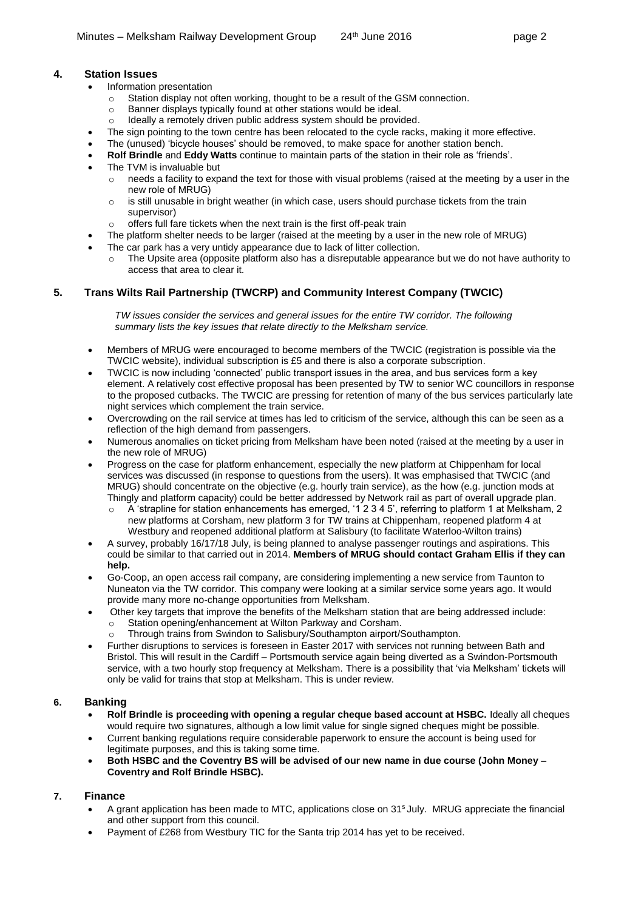# **4. Station Issues**

- Information presentation
	- $\circ$  Station display not often working, thought to be a result of the GSM connection.
	- o Banner displays typically found at other stations would be ideal.
	- Ideally a remotely driven public address system should be provided.
- The sign pointing to the town centre has been relocated to the cycle racks, making it more effective.
- The (unused) 'bicycle houses' should be removed, to make space for another station bench.
- **Rolf Brindle** and **Eddy Watts** continue to maintain parts of the station in their role as 'friends'.
- The TVM is invaluable but
	- $\circ$  needs a facility to expand the text for those with visual problems (raised at the meeting by a user in the new role of MRUG)
	- $\circ$  is still unusable in bright weather (in which case, users should purchase tickets from the train supervisor)
	- o offers full fare tickets when the next train is the first off-peak train
- The platform shelter needs to be larger (raised at the meeting by a user in the new role of MRUG)
- The car park has a very untidy appearance due to lack of litter collection.
	- $\circ$  The Upsite area (opposite platform also has a disreputable appearance but we do not have authority to access that area to clear it.

# **5. Trans Wilts Rail Partnership (TWCRP) and Community Interest Company (TWCIC)**

*TW issues consider the services and general issues for the entire TW corridor. The following summary lists the key issues that relate directly to the Melksham service.*

- Members of MRUG were encouraged to become members of the TWCIC (registration is possible via the TWCIC website), individual subscription is £5 and there is also a corporate subscription.
- TWCIC is now including 'connected' public transport issues in the area, and bus services form a key element. A relatively cost effective proposal has been presented by TW to senior WC councillors in response to the proposed cutbacks. The TWCIC are pressing for retention of many of the bus services particularly late night services which complement the train service.
- Overcrowding on the rail service at times has led to criticism of the service, although this can be seen as a reflection of the high demand from passengers.
- Numerous anomalies on ticket pricing from Melksham have been noted (raised at the meeting by a user in the new role of MRUG)
- Progress on the case for platform enhancement, especially the new platform at Chippenham for local services was discussed (in response to questions from the users). It was emphasised that TWCIC (and MRUG) should concentrate on the objective (e.g. hourly train service), as the how (e.g. junction mods at Thingly and platform capacity) could be better addressed by Network rail as part of overall upgrade plan.
	- o A 'strapline for station enhancements has emerged, '1 2 3 4 5', referring to platform 1 at Melksham, 2 new platforms at Corsham, new platform 3 for TW trains at Chippenham, reopened platform 4 at Westbury and reopened additional platform at Salisbury (to facilitate Waterloo-Wilton trains)
- A survey, probably 16/17/18 July, is being planned to analyse passenger routings and aspirations. This could be similar to that carried out in 2014. **Members of MRUG should contact Graham Ellis if they can help.**
- Go-Coop, an open access rail company, are considering implementing a new service from Taunton to Nuneaton via the TW corridor. This company were looking at a similar service some years ago. It would provide many more no-change opportunities from Melksham.
- Other key targets that improve the benefits of the Melksham station that are being addressed include:
	- o Station opening/enhancement at Wilton Parkway and Corsham.
	- o Through trains from Swindon to Salisbury/Southampton airport/Southampton.
- Further disruptions to services is foreseen in Easter 2017 with services not running between Bath and Bristol. This will result in the Cardiff – Portsmouth service again being diverted as a Swindon-Portsmouth service, with a two hourly stop frequency at Melksham. There is a possibility that 'via Melksham' tickets will only be valid for trains that stop at Melksham. This is under review.

# **6. Banking**

- **Rolf Brindle is proceeding with opening a regular cheque based account at HSBC.** Ideally all cheques would require two signatures, although a low limit value for single signed cheques might be possible.
- Current banking regulations require considerable paperwork to ensure the account is being used for legitimate purposes, and this is taking some time.
- **Both HSBC and the Coventry BS will be advised of our new name in due course (John Money – Coventry and Rolf Brindle HSBC).**

### **7. Finance**

- A grant application has been made to MTC, applications close on 31<sup>s</sup> July. MRUG appreciate the financial and other support from this council.
- Payment of £268 from Westbury TIC for the Santa trip 2014 has yet to be received.